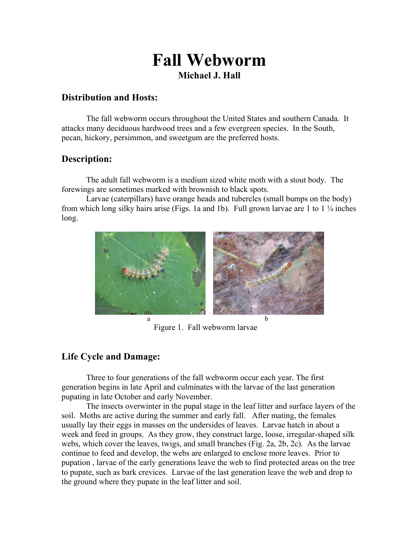# **Fall Webworm Michael J. Hall**

### **Distribution and Hosts:**

The fall webworm occurs throughout the United States and southern Canada. It attacks many deciduous hardwood trees and a few evergreen species. In the South, pecan, hickory, persimmon, and sweetgum are the preferred hosts.

### **Description:**

 The adult fall webworm is a medium sized white moth with a stout body. The forewings are sometimes marked with brownish to black spots.

 Larvae (caterpillars) have orange heads and tubercles (small bumps on the body) from which long silky hairs arise (Figs. 1a and 1b). Full grown larvae are 1 to 1  $\frac{1}{4}$  inches long.



Figure 1. Fall webworm larvae

## **Life Cycle and Damage:**

 Three to four generations of the fall webworm occur each year. The first generation begins in late April and culminates with the larvae of the last generation pupating in late October and early November.

 The insects overwinter in the pupal stage in the leaf litter and surface layers of the soil. Moths are active during the summer and early fall. After mating, the females usually lay their eggs in masses on the undersides of leaves. Larvae hatch in about a week and feed in groups. As they grow, they construct large, loose, irregular-shaped silk webs, which cover the leaves, twigs, and small branches (Fig. 2a, 2b, 2c). As the larvae continue to feed and develop, the webs are enlarged to enclose more leaves. Prior to pupation , larvae of the early generations leave the web to find protected areas on the tree to pupate, such as bark crevices. Larvae of the last generation leave the web and drop to the ground where they pupate in the leaf litter and soil.